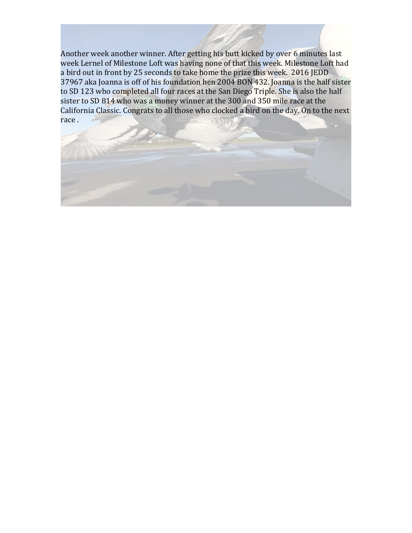Another week another winner. After getting his butt kicked by over 6 minutes last week Lernel of Milestone Loft was having none of that this week. Milestone Loft had a bird out in front by 25 seconds to take home the prize this week. 2016 JEDD 37967 aka Joanna is off of his foundation hen 2004 BON 432. Joanna is the half sister to SD 123 who completed all four races at the San Diego Triple. She is also the half sister to SD 814 who was a money winner at the 300 and 350 mile race at the California Classic. Congrats to all those who clocked a bird on the day. On to the next race.

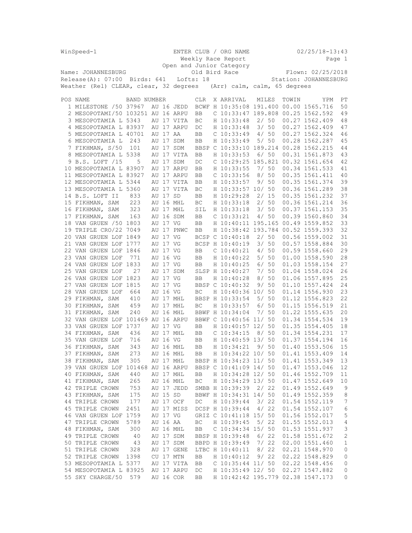| WinSpeed-1                             |             |          |            |            |  | ENTER CLUB / ORG NAME                  |                   |  |       | $02/25/18 - 13:43$    |                  |
|----------------------------------------|-------------|----------|------------|------------|--|----------------------------------------|-------------------|--|-------|-----------------------|------------------|
|                                        |             |          |            |            |  | Weekly Race Report                     |                   |  |       |                       | Page 1           |
|                                        |             |          |            |            |  | Open and Junior Category               |                   |  |       |                       |                  |
| Name: JOHANNESBURG                     |             |          |            |            |  | Old Bird Race                          | Flown: 02/25/2018 |  |       |                       |                  |
| $Release(A): 07:00$ Birds: 641         |             |          | Lofts: 18  |            |  |                                        |                   |  |       | Station: JOHANNESBURG |                  |
| Weather (Rel) CLEAR, clear, 32 degrees |             |          |            |            |  | (Arr) calm, calm, 65 degrees           |                   |  |       |                       |                  |
|                                        |             |          |            |            |  |                                        |                   |  |       |                       |                  |
|                                        |             |          |            |            |  |                                        |                   |  |       |                       |                  |
| POS NAME                               | BAND NUMBER |          |            | <b>CLR</b> |  | X ARRIVAL                              | MILES             |  | TOWIN | YPM                   | РT               |
| 1 MILESTONE / 50 37967                 |             |          | AU 16 JEDD |            |  | BCWF H 10:35:08 191.400 00.00 1565.716 |                   |  |       |                       | 50               |
| 2 MESOPOTAMI/50 103251 AU 16 ARPU      |             |          |            | BB         |  | C 10:33:47 189.808 00.25 1562.592      |                   |  |       |                       | 49               |
| 3 MESOPOTAMIA L 5343                   |             |          | AU 17 VITA | BC         |  | H 10:33:48                             | 2/50              |  |       | 00.27 1562.409        | 48               |
| 4 MESOPOTAMIA L 83937                  |             |          | AU 17 ARPU | DC         |  | H 10:33:48                             | 3/50              |  |       | 00.27 1562.409        | 47               |
| 5 MESOPOTAMIA L 40701                  |             | AU 17 AA |            | BB         |  | $C$ 10:33:49                           | 4/50              |  |       | 00.27 1562.324        | 46               |
| 6 MESOPOTAMIA L                        | 243         |          | AU 17 SDM  | BB         |  | H 10:33:49                             | 5/50              |  |       | 00.28 1562.287        | 45               |
| 7 FIKHMAN, S/50                        | 101         |          | AU 17 SDM  |            |  | BBSP C 10:33:10 189.214 00.28 1562.215 |                   |  |       |                       | 44               |
| 8 MESOPOTAMIA L 5338                   |             |          | AU 17 VITA | BB         |  | H 10:33:53                             | 6/50              |  |       | 00.31 1561.873        | 43               |
| 9 B.S. LOFT /15                        | 5           |          | AU 17 SDM  | DC         |  | C 10:29:25 185.821 00.32 1561.654      |                   |  |       |                       | 42               |
| 10 MESOPOTAMIA L 83907                 |             |          | AU 17 ARPU | BB         |  | H 10:33:55                             | 7/50              |  |       | 00.34 1561.533        | 41               |
| 11 MESOPOTAMIA L 83927                 |             |          | AU 17 ARPU | BB         |  | $C$ 10:33:56                           | 8/50              |  |       | 00.35 1561.411        | 40               |
| 12 MESOPOTAMIA L 5344                  |             |          | AU 17 VITA | BB         |  | H 10:33:57                             | 9/50              |  |       | 00.35 1561.374        | 39               |
| 13 MESOPOTAMIA L 5360                  |             |          | AU 17 VITA | ВC         |  | H 10:33:57 10/ 50                      |                   |  |       | 00.36 1561.289        | 38               |
| 14 B.S. LOFT II                        | 833         | AU 17 SD |            | BB         |  | H 10:29:28                             | 2/15              |  |       | 00.35 1561.232        | 37               |
| 15 FIKHMAN, SAM                        | 223         |          | AU 16 MHL  | ВC         |  | H 10:33:18                             | 2/50              |  |       | 00.36 1561.214        | 36               |
| 16 FIKHMAN, SAM                        | 323         |          | AU 17 MHL  | SIL        |  | H 10:33:18                             | 3/50              |  |       | 00.37 1561.153        | 35               |
|                                        |             |          |            |            |  |                                        |                   |  |       | 00.39 1560.860        |                  |
| 17 FIKHMAN, SAM                        | 163         |          | AU 16 SDM  | BB         |  | $C$ 10:33:21                           | 4/50              |  |       |                       | 34               |
| 18 VAN GRUEN / 50 1803                 |             | AU 17 VG |            | BB         |  | H 10:40:11 195.165 00.49 1559.852      |                   |  |       |                       | 33               |
| 19 TRIPLE CRO/22 7049                  |             |          | AU 17 PNWC | BB         |  | H 10:38:42 193.784 00.52 1559.393      |                   |  |       |                       | 32               |
| 20 VAN GRUEN LOF 1849                  |             | AU 17 VG |            |            |  | BCSP C 10:40:18                        | 2/50              |  |       | 00.56 1559.002        | 31               |
| 21 VAN GRUEN LOF 1777                  |             | AU 17 VG |            |            |  | BCSP H 10:40:19                        | 3/50              |  |       | 00.57 1558.884        | 30               |
| 22 VAN GRUEN LOF 1846                  |             | AU 17 VG |            | BB         |  | C 10:40:21                             | 4/50              |  |       | 00.59 1558.660        | 29               |
| 23 VAN GRUEN LOF                       | 771         | AU 16 VG |            | BB         |  | H 10:40:22                             | 5/50              |  |       | 01.00 1558.590        | 28               |
| 24 VAN GRUEN LOF 1833                  |             | AU 17 VG |            | BB         |  | H 10:40:25                             | 6/50              |  |       | 01.03 1558.154        | 27               |
| 25 VAN GRUEN LOF                       | 27          |          | AU 17 SDM  |            |  | SLSP H 10:40:27                        | 7/50              |  |       | 01.04 1558.024        | 26               |
| 26 VAN GRUEN LOF 1823                  |             | AU 17 VG |            | BB         |  | H 10:40:28                             | 8/50              |  |       | 01.06 1557.895        | 25               |
| 27 VAN GRUEN LOF 1815                  |             | AU 17 VG |            |            |  | BBSP C 10:40:32                        | 9/50              |  |       | 01.10 1557.424        | 24               |
| 28 VAN GRUEN LOF                       | 664         | AU 16 VG |            | BC         |  | H 10:40:36 10/ 50                      |                   |  |       | 01.14 1556.930        | 23               |
| 29 FIKHMAN, SAM                        | 410         |          | AU 17 MHL  |            |  | BBSP H 10:33:54                        | 5/50              |  |       | 01.12 1556.823        | 22               |
| 30 FIKHMAN, SAM                        | 459         |          | AU 17 MHL  | BC         |  | H 10:33:57                             | 6/50              |  |       | 01.15 1556.519        | 21               |
| 31 FIKHMAN, SAM                        | 240         |          | AU 16 MHL  |            |  | BBWF H 10:34:04                        | 7/50              |  |       | 01.22 1555.635        | 20               |
| 32 VAN GRUEN LOF 101469 AU 16 ARPU     |             |          |            |            |  | BBWF C 10:40:56 11/ 50                 |                   |  |       | 01.34 1554.534        | 19               |
| 33 VAN GRUEN LOF 1737                  |             | AU 17 VG |            | BB         |  | H 10:40:57 12/ 50                      |                   |  |       | 01.35 1554.405        | 18               |
| 34 FIKHMAN, SAM                        | 436         |          | AU 17 MHL  | BB         |  | $C$ 10:34:15                           | 8/50              |  |       | 01.34 1554.231        | 17               |
| 35 VAN GRUEN LOF                       | 716         | AU 16 VG |            | BB         |  | H 10:40:59 13/ 50                      |                   |  |       | 01.37 1554.194        | 16               |
| 36 FIKHMAN, SAM                        | 343         |          | AU 16 MHL  | <b>BB</b>  |  | H 10:34:21                             | 9/50              |  |       | 01.40 1553.506        | 15               |
| 37 FIKHMAN, SAM                        | 273         |          | AU 16 MHL  | BB         |  | H 10:34:22 10/ 50                      |                   |  |       | 01.41 1553.409        | 14               |
| 38 FIKHMAN, SAM                        | 305         |          | AU 17 MHL  |            |  | BBSP H 10:34:23 11/ 50                 |                   |  |       | 01.41 1553.349        | 13               |
|                                        |             |          |            |            |  |                                        |                   |  |       | 01.47 1553.046        |                  |
| 39 VAN GRUEN LOF 101468 AU 16 ARPU     |             |          |            |            |  | BBSP C 10:41:09 14/ 50                 |                   |  |       |                       | 12               |
| 40 FIKHMAN, SAM                        | 440         |          | AU 17 MHL  | BB         |  | H 10:34:28 12/ 50                      |                   |  |       | 01.46 1552.709        | 11               |
| 41 FIKHMAN, SAM                        | 265         |          | AU 16 MHL  | ВC         |  | H 10:34:29 13/ 50                      |                   |  |       | 01.47 1552.649        | 10               |
| 42 TRIPLE CROWN                        | 753         |          | AU 17 JEDD |            |  | SMBB H 10:39:39                        | 2/22              |  |       | 01.49 1552.649        | 9                |
| 43 FIKHMAN, SAM                        | 175         | AU 15 SD |            |            |  | BBWF H 10:34:31 14/ 50                 |                   |  |       | 01.49 1552.359        | $\,8\,$          |
| 44 TRIPLE CROWN                        | 177         |          | AU 17 OCF  | DC         |  | H 10:39:44                             | 3/22              |  |       | 01.54 1552.119        | $\boldsymbol{7}$ |
| 45 TRIPLE CROWN                        | 2451        |          | AU 17 MISS |            |  | DCSP H 10:39:44                        | 4/22              |  |       | 01.54 1552.107        | 6                |
| 46 VAN GRUEN LOF 1759                  |             | AU 17 VG |            |            |  | GRIZ C 10:41:18 15/ 50                 |                   |  |       | 01.56 1552.017        | 5                |
| 47 TRIPLE CROWN                        | 5789        | AU 16 AA |            | ВC         |  | H 10:39:45                             | 5/22              |  |       | 01.55 1552.013        | $\overline{4}$   |
| 48 FIKHMAN, SAM                        | 300         |          | AU 16 MHL  | BB         |  | $C$ 10:34:34 15/ 50                    |                   |  |       | 01.53 1551.937        | 3                |
| 49 TRIPLE CROWN                        | 40          |          | AU 17 SDM  |            |  | BBSP H 10:39:48                        | 6/22              |  |       | 01.58 1551.672        | $\sqrt{2}$       |
| 50 TRIPLE CROWN                        | 43          |          | AU 17 SDM  |            |  | BBPD H 10:39:49                        | 7/22              |  |       | 02.00 1551.460        | $\mathbf 1$      |
| 51 TRIPLE CROWN                        | 328         |          | AU 17 GENE |            |  | LTBC H 10:40:11                        | 8/22              |  |       | 02.21 1548.970        | 0                |
| 52 TRIPLE CROWN                        | 1398        |          | CU 17 MTN  | BB         |  | H 10:40:12                             | 9/22              |  |       | 02.22 1548.829        | 0                |
| 53 MESOPOTAMIA L 5377                  |             |          | AU 17 VITA | BB         |  | $C$ 10:35:44 11/ 50                    |                   |  |       | 02.22 1548.456        | 0                |
| 54 MESOPOTAMIA L 83925                 |             |          | AU 17 ARPU | DC         |  | H 10:35:49 12/ 50                      |                   |  |       | 02.27 1547.882        | 0                |
| 55 SKY CHARGE/50 579                   |             |          | AU 16 COR  | BB         |  | H 10:42:42 195.779 02.38 1547.173      |                   |  |       |                       | 0                |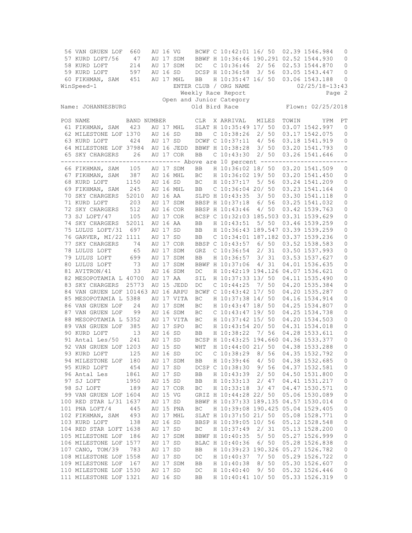| 56 VAN GRUEN LOF                                                                | 660         | AU 16 VG |            |                     | BCWF C 10:42:01 16/ 50                 |       |        |       | 02.39 1546.984                   | 0                   |
|---------------------------------------------------------------------------------|-------------|----------|------------|---------------------|----------------------------------------|-------|--------|-------|----------------------------------|---------------------|
| 57 KURD LOFT/56                                                                 | 47          |          | AU 17 SDM  |                     | BBWF H 10:36:46 190.291 02.52 1544.930 |       |        |       |                                  | 0                   |
| 58 KURD LOFT                                                                    | 214         |          | AU 17 SDM  | $DC$                | $C$ 10:36:46 2/ 56                     |       |        |       | 02.53 1544.870                   | 0                   |
| 59 KURD LOFT                                                                    | 597         | AU 16 SD |            |                     | DCSP H 10:36:58                        | 3/56  |        |       | 03.05 1543.447                   | 0                   |
| 60 FIKHMAN, SAM                                                                 | 451         |          | AU 17 MHL  | <b>BB</b>           | H 10:35:47 16/ 50                      |       |        |       | 03.06 1543.188                   | 0                   |
| WinSpeed-1                                                                      |             |          |            |                     | ENTER CLUB / ORG NAME                  |       |        |       | $02/25/18-13:43$                 |                     |
|                                                                                 |             |          |            |                     | Weekly Race Report                     |       |        |       |                                  | Page 2              |
|                                                                                 |             |          |            |                     | Open and Junior Category               |       |        |       |                                  |                     |
| Name: JOHANNESBURG                                                              |             |          |            |                     | Old Bird Race                          |       |        |       | Flown: 02/25/2018                |                     |
|                                                                                 |             |          |            |                     |                                        |       |        |       |                                  |                     |
| POS NAME                                                                        | BAND NUMBER |          |            | <b>CLR</b>          | X ARRIVAL                              | MILES |        | TOWIN | YPM                              | РT                  |
| 61 FIKHMAN, SAM                                                                 | 423         |          | AU 17 MHL  |                     | SLAT H 10:35:49 17/ 50                 |       |        |       | 03.07 1542.997                   | $\mathbf{0}$        |
| 62 MILESTONE LOF 1370                                                           |             | AU 16 SD |            | BB                  | $C$ 10:38:26 2/ 50                     |       |        |       | 03.17 1542.075                   | 0                   |
| 63 KURD LOFT                                                                    | 424         | AU 17 SD |            |                     | DCWF C 10:37:11 4/ 56                  |       |        |       | 03.18 1541.919                   | 0                   |
| 64 MILESTONE LOF 37984                                                          |             |          | AU 16 JEDD |                     | BBWF H 10:38:28                        |       | 3/50   |       | 03.20 1541.793                   | 0                   |
| 65 SKY CHARGERS                                                                 | 26          |          | AU 17 COR  | <b>BB</b>           | $C$ 10:43:30                           |       | 2/50   |       | 03.26 1541.646                   | 0                   |
| --------------------------------- Above are 10 percent ------------------------ |             |          |            |                     |                                        |       |        |       |                                  |                     |
| 66 FIKHMAN, SAM                                                                 | 105         |          | AU 17 SDM  | BB                  | H 10:36:02 18/ 50                      |       |        |       | 03.20 1541.509                   | 0                   |
|                                                                                 |             |          |            |                     | H 10:36:02 19/ 50                      |       |        |       | 03.20 1541.450                   |                     |
| 67 FIKHMAN, SAM                                                                 | 387         |          | AU 16 MHL  | ВC                  |                                        |       |        |       |                                  | 0                   |
| 68 KURD LOFT                                                                    | 1150        | AU 16 SD |            | BC                  | H 10:37:17 5/ 56                       |       |        |       | 03.24 1541.209                   | $\mathsf{O}\xspace$ |
| 69 FIKHMAN, SAM                                                                 | 245         |          | AU 16 MHL  | BB                  | $C$ 10:36:04 20/ 50                    |       |        |       | 03.23 1541.164                   | 0                   |
| 70 SKY CHARGERS                                                                 | 52010       | AU 16 AA |            |                     | SLPD H 10:43:35                        | 3/50  |        |       | 03.30 1541.118                   | 0                   |
| 71 KURD LOFT                                                                    | 203         |          | AU 17 SDM  |                     | BBSP H 10:37:18                        |       | 6/56   |       | 03.25 1541.032                   | 0                   |
| 72 SKY CHARGERS                                                                 | 512         |          | AU 16 COR  |                     | BBSP H 10:43:46                        |       | 4/50   |       | 03.42 1539.763                   | 0                   |
| 73 SJ LOFT/47                                                                   | 105         |          | AU 17 COR  |                     | BCSP C 10:32:03 185.503 03.31 1539.629 |       |        |       |                                  | 0                   |
| 74 SKY CHARGERS                                                                 | 52011       | AU 16 AA |            | BB                  | H 10:43:51                             | 5/ 50 |        |       | 03.46 1539.259                   | 0                   |
| 75 LULUS LOFT/31 697                                                            |             | AU 17 SD |            | BB                  | H 10:36:43 189.547 03.39 1539.259      |       |        |       |                                  | $\mathbb O$         |
| 76 GARVER, MI/22 1111                                                           |             | AU 17 SD |            | <b>BB</b>           | C 10:34:01 187.182 03.37 1539.236      |       |        |       |                                  | 0                   |
| 77 SKY CHARGERS                                                                 | 74          |          | AU 17 COR  |                     | BBSP C 10:43:57                        |       | $6/50$ |       | 03.52 1538.583                   | 0                   |
| 78 LULUS LOFT                                                                   | 65          |          | AU 17 SDM  | GRZ                 | $C$ 10:36:54                           |       | 2/31   |       | 03.50 1537.993                   | $\mathbb O$         |
| 79 LULUS LOFT                                                                   | 699         |          | AU 17 SDM  | BB                  | H 10:36:57                             |       | 3/31   |       | 03.53 1537.627                   | 0                   |
| 80 LULUS LOFT                                                                   | 73          |          | AU 17 SDM  |                     | BBWF H 10:37:06                        |       | 4/31   |       | 04.01 1536.635                   | 0                   |
| 81 AVITRON/41                                                                   | 33          |          | AU 16 SDM  | DC                  | H 10:42:19 194.126 04.07 1536.621      |       |        |       |                                  | 0                   |
| 82 MESOPOTAMIA L 40700                                                          |             | AU 17 AA |            | SIL                 | H 10:37:33 13/ 50                      |       |        |       | 04.11 1535.490                   | 0                   |
| 83 SKY CHARGERS                                                                 | 25773       |          | AU 15 JEDD | DC                  | $C$ 10:44:25                           |       | 7/50   |       | 04.20 1535.384                   | 0                   |
| 84 VAN GRUEN LOF 101463 AU 16 ARPU                                              |             |          |            |                     | BCWF C 10:43:42 17/ 50                 |       |        |       | 04.20 1535.287                   | 0                   |
| 85 MESOPOTAMIA L 5388                                                           |             |          | AU 17 VITA | BC                  | H 10:37:38 14/ 50                      |       |        |       | 04.16 1534.914                   | $\mathbb O$         |
| 86 VAN GRUEN LOF                                                                | 24          |          | AU 17 SDM  | BC                  | H 10:43:47 18/ 50                      |       |        |       | 04.25 1534.807                   | 0                   |
| 87 VAN GRUEN LOF                                                                | 99          |          | AU 16 SDM  | BC                  | $C$ 10:43:47 19/ 50                    |       |        |       | 04.25 1534.738                   | 0                   |
| 88 MESOPOTAMIA L 5352                                                           |             |          | AU 17 VITA | ВC                  | H 10:37:42 15/ 50                      |       |        |       | 04.20 1534.503                   | 0                   |
| 89 VAN GRUEN LOF                                                                | 385         |          | AU 17 SPO  | BC                  | H 10:43:54 20/ 50                      |       |        |       | 04.31 1534.018                   | 0                   |
| 90 KURD LOFT                                                                    | 13          | AU 16 SD |            | BB                  | H 10:38:22                             | 7/56  |        |       | 04.28 1533.611                   | 0                   |
| 91 Antal Les/50                                                                 | 241         | AU 17 SD |            |                     | BCSP H 10:43:25 194.660 04.36 1533.377 |       |        |       |                                  | 0                   |
| 92 VAN GRUEN LOF 1203                                                           |             | AU 15 SD |            | WHT                 | H 10:44:00 21/ 50                      |       |        |       | 04.38 1533.288                   | 0                   |
|                                                                                 | 125         |          |            |                     | $C$ 10:38:29                           | 8/56  |        |       | 04.35 1532.792                   |                     |
| 93 KURD LOFT<br>94 MILESTONE LOF                                                |             | AU 16 SD |            | DC                  |                                        |       |        |       |                                  | 0                   |
|                                                                                 | 180         |          | AU 17 SDM  | BB                  | H 10:39:46                             | 4/50  |        |       | 04.38 1532.685<br>04.37 1532.581 | 0                   |
| 95 KURD LOFT                                                                    | 454         | AU 17 SD |            |                     | DCSP C 10:38:30                        | 9/56  |        |       |                                  | $\mathbb O$         |
| 96 Antal Les                                                                    | 1861        | AU 17 SD |            | BB                  | H 10:43:39                             | 2/50  |        |       | 04.50 1531.800                   | $\mathbb O$         |
| 97 SJ LOFT                                                                      | 1950        | AU 15 SD |            | BB                  | H 10:33:13                             | 2/47  |        |       | 04.41 1531.217                   | $\mathbb O$         |
| 98 SJ LOFT                                                                      | 189         |          | AU 17 COR  | BC                  | H 10:33:18                             | 3/47  |        |       | 04.47 1530.571                   | $\mathbb O$         |
| 99 VAN GRUEN LOF 1604                                                           |             | AU 15 VG |            |                     | GRIZ H 10:44:28 22/ 50                 |       |        |       | 05.06 1530.089                   | $\mathbb O$         |
| 100 RED STAR L/31 1637                                                          |             | AU 17 SD |            |                     | BBWF H 10:37:33 189.135 04.57 1530.014 |       |        |       |                                  | $\mathbb O$         |
| 101 PNA LOFT/4                                                                  | 445         |          | AU 15 PNA  | BC                  | H 10:39:08 190.425 05.04 1529.405      |       |        |       |                                  | $\mathbb O$         |
| 102 FIKHMAN, SAM                                                                | 493         |          | AU 17 MHL  |                     | SLAT H 10:37:50 21/ 50                 |       |        |       | 05.08 1528.771                   | $\mathbb O$         |
| 103 KURD LOFT                                                                   | 138         | AU 16 SD |            |                     | BBSP H 10:39:05 10/ 56                 |       |        |       | 05.12 1528.548                   | $\mathbb O$         |
| 104 RED STAR LOFT 1638                                                          |             | AU 17 SD |            | $\operatorname{BC}$ | H 10:37:49                             | 2/31  |        |       | 05.13 1528.200                   | $\mathbb O$         |
| 105 MILESTONE LOF                                                               | 186         |          | AU 17 SDM  |                     | BBWF H 10:40:35                        | 5/50  |        |       | 05.27 1526.999                   | $\mathbb O$         |
| 106 MILESTONE LOF 1577                                                          |             | AU 17 SD |            |                     | BLAC H 10:40:36                        | 6/50  |        |       | 05.28 1526.838                   | $\mathbf 0$         |
| 107 CANO, TOM/39                                                                | 783         | AU 17 SD |            | BB                  | H 10:39:23 190.326 05.27 1526.782      |       |        |       |                                  | 0                   |
| 108 MILESTONE LOF 1558                                                          |             | AU 17 SD |            | DC                  | H 10:40:37                             | 7/50  |        |       | 05.29 1526.722                   | $\mathbb O$         |
| 109 MILESTONE LOF                                                               | 167         |          | AU 17 SDM  | BB                  | H 10:40:38                             | 8/50  |        |       | 05.30 1526.607                   | 0                   |
| 110 MILESTONE LOF 1530                                                          |             | AU 17 SD |            | DC                  | H 10:40:40                             | 9/50  |        |       | 05.32 1526.446                   | 0                   |
| 111 MILESTONE LOF 1321                                                          |             | AU 16 SD |            | BB                  | H 10:40:41 10/ 50                      |       |        |       | 05.33 1526.319                   | 0                   |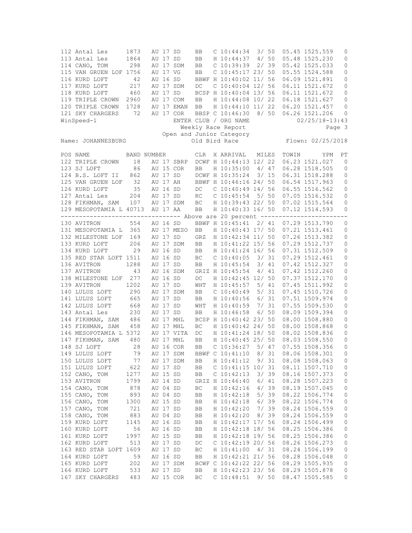112 Antal Les 1873 AU 17 SD BB C 10:44:34 3/ 50 05.45 1525.559 0 113 Antal Les 1864 AU 17 SD BB H 10:44:37 4/ 50 05.48 1525.230 0 114 CANO, TOM 298 AU 17 SDM BB C 10:39:39 2/ 39 05.42 1525.033 0 115 VAN GRUEN LOF 1756 AU 17 VG BB C 10:45:17 23/ 50 05.55 1524.588 0 116 KURD LOFT 42 AU 16 SD BBWF H 10:40:02 11/ 56 06.09 1521.891 0 117 KURD LOFT 217 AU 17 SDM DC C 10:40:04 12/ 56 06.11 1521.672 0 118 KURD LOFT 460 AU 17 SD BCSP H 10:40:04 13/ 56 06.11 1521.672 0 119 TRIPLE CROWN 2960 AU 17 COM BB H 10:44:08 10/ 22 06.18 1521.627 0 120 TRIPLE CROWN 1728 AU 17 EMAN BB H 10:44:10 11/ 22 06.20 1521.457 0 121 SKY CHARGERS 72 AU 17 COR BBSP C 10:46:30 8/ 50 06.26 1521.206 0 WinSpeed-1 **ENTER CLUB** / ORG NAME 02/25/18-13:43 Weekly Race Report Page 3 Open and Junior Category Name: JOHANNESBURG Old Bird Race Flown: 02/25/2018 POS NAME BAND NUMBER CLR X ARRIVAL MILES TOWIN YPM PT 122 TRIPLE CROWN 18 AU 17 SBRP DCWF H 10:44:13 12/ 22 06.23 1521.027 0 123 SJ LOFT 86 AU 15 COR BB H 10:35:00 4/ 47 06.28 1518.505 0 124 B.S. LOFT II 862 AU 17 SD DCWF H 10:35:24 3/ 15 06.31 1518.288 0 125 VAN GRUEN LOF 32 AU 17 AH BBWF H 10:46:16 24/ 50 06.54 1517.963 0 126 AU 16 SD DC C 10:40:49 14/ 56 06.55 1516.562 0<br>1264 AU 17 SD RC C 10:45:54 5/ 50 07.05 1516.532 0 127 Antal Les 204 AU 17 SD RC C 10:45:54 5/ 50 07.05 1516.532 0 128 FIKHMAN, SAM 107 AU 17 SDM BC H 10:39:43 22/ 50 07.02 1515.564 0 129 MESOPOTAMIA L 40713 AU 17 AA BB H 10:40:33 16/ 50 07.12 1514.593 0 --------------------------------- Above are 20 percent -------------------------130 AVITRON 554 AU 16 SD BBWF H 10:45:41 2/ 41 07.29 1513.790 0 131 MESOPOTAMIA L 365 AU 17 MESO BB H 10:40:43 17/ 50 07.21 1513.461 0 132 MILESTONE LOF 169 AU 17 SD GRZ H 10:42:34 11/ 50 07.26 1513.382 0 206 AU 17 SDM BB H 10:41:22 15/ 56 07.29 1512.737 134 KURD LOFT 29 AU 16 SD BB H 10:41:24 16/ 56 07.31 1512.509 0 135 RED STAR LOFT 1511 AU 16 SD BC C 10:40:05 3/ 31 07.29 1512.461 0 136 AVITRON 1288 AU 17 SD BB H 10:45:54 3/ 41 07.42 1512.327 0 137 AVITRON 43 AU 16 SDM GRIZ H 10:45:54 4/ 41 07.42 1512.260 0 138 MILESTONE LOF 277 AU 16 SD DC H 10:42:45 12/ 50 07.37 1512.170 0 139 AVITRON 1202 AU 17 SD WHT H 10:45:57 5/ 41 07.45 1511.992 0 140 LULUS LOFT 290 AU 17 SDM BB C 10:40:49 5/ 31 07.45 1510.726 0<br>141 LULUS LOFT 665 AU 17 SD BB H 10:40:56 6/ 31 07.51 1509.974 0<br>142 LULUS LOFT 668 AU 17 SD WHT H 10:40:59 7/ 31 07.55 1509.530 0<br>142 LULUS LOFT 668 AU 17 141 LULUS LOFT 665 AU 17 SD BB H 10:40:56 6/ 31 07.51 1509.974 0 142 LULUS LOFT 668 AU 17 SD WHT H 10:40:59 7/ 31 07.55 1509.530 0 143 Antal Les 230 AU 17 SD BB H 10:46:58 6/ 50 08.09 1509.394 0 144 FIKHMAN, SAM 486 AU 17 MHL BCSP H 10:40:42 23/ 50 08.00 1508.880 0 145 FIKHMAN, SAM 458 AU 17 MHL BC H 10:40:42 24/ 50 08.00 1508.868 0 146 MESOPOTAMIA L 5372 AU 17 VITA DC H 10:41:24 18/ 50 08.02 1508.836 0 147 FIKHMAN, SAM 480 AU 17 MHL BB H 10:40:45 25/ 50 08.03 1508.550 0 148 SJ LOFT 28 AU 16 COR BB C 10:36:27 5/ 47 07.55 1508.356 0 149 LULUS LOFT 79 AU 17 SDM BBWF C 10:41:10 8/ 31 08.06 1508.301 0 150 LULUS LOFT 77 AU 17 SDM BB H 10:41:12 9/ 31 08.08 1508.063 0 622 AU 17 SD BB C 10:41:15 10/ 31 08.11 1507.710 0<br>1277 AU 15 SD BB C 10:42:13 3/ 39 08.16 1507 373 0 152 CANO, TOM 1277 AU 15 SD BB C 10:42:13 3/ 39 08.16 1507.373 0 153 AVITRON 1799 AU 14 SD GRIZ H 10:46:40 6/ 41 08.28 1507.223 0 878 AU 04 SD BC H 10:42:16 4/ 39 08.19 1507.045 155 CANO, TOM 893 AU 04 SD BB H 10:42:18 5/ 39 08.22 1506.774 0 156 CANO, TOM 1300 AU 15 SD BB H 10:42:18 6/ 39 08.22 1506.774 0 157 CANO, TOM 721 AU 17 SD BB H 10:42:20 7/ 39 08.24 1506.559 0 157 CANO, TOM 721 AU 17 SD BB H 10:42:20 7/ 39 08.24 1506.559 0<br>158 CANO, TOM 883 AU 04 SD BB H 10:42:20 8/ 39 08.24 1506.559 0<br>159 KURD LOFT 1145 AU 16 SD BB H 10:42:17 17/ 56 08.24 1506.499 0 159 KURD LOFT 1145 AU 16 SD BB H 10:42:17 17/ 56 08.24 1506.499 0<br>160 KURD LOFT 56 AU 16 SD BB H 10:42:18 18/ 56 08.25 1506.386 0 BB H 10:42:18 18/ 56 08.25 1506.386 0 161 KURD LOFT 1997 AU 15 SD BB H 10:42:18 19/ 56 08.25 1506.386 0 162 KURD LOFT 513 AU 17 SD DC C 10:42:19 20/ 56 08.26 1506.273 0 163 RED STAR LOFT 1609 AU 17 SD BC H 10:41:00 4/ 31 08.24 1506.199 0 164 KURD LOFT 59 AU 16 SD BB H 10:42:21 21/ 56 08.28 1506.048 0 165 KURD LOFT 202 AU 17 SDM BCWF C 10:42:22 22/ 56 08.29 1505.935 0 166 KURD LOFT 533 AU 17 SD BB H 10:42:23 23/ 56 08.29 1505.878 167 SKY CHARGERS 483 AU 15 COR BC C 10:48:51 9/ 50 08.47 1505.585 0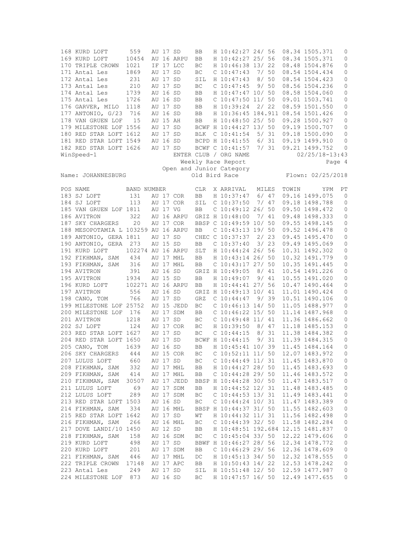| 168 KURD LOFT                       | 559               |       | AU 17 SD |            | BB                     | H 10:42:27 24/ 56                 |       |      |       | 08.34 1505.371     | 0            |
|-------------------------------------|-------------------|-------|----------|------------|------------------------|-----------------------------------|-------|------|-------|--------------------|--------------|
| 169 KURD LOFT                       | 10454             |       |          | AU 16 ARPU | BB                     | H 10:42:27 25/ 56                 |       |      |       | 08.34 1505.371     | 0            |
| 170 TRIPLE CROWN                    | 1021              |       |          | IF 17 LCC  | ВC                     | H 10:46:38 13/22                  |       |      |       | 08.48 1504.876     | 0            |
| 171 Antal Les                       | 1869              |       | AU 17 SD |            | <b>BC</b>              | $C$ 10:47:43                      | 7/ 50 |      |       | 08.54 1504.434     | 0            |
| 172 Antal Les                       | 231               |       | AU 17 SD |            | SIL                    | H 10:47:43                        | 8/50  |      |       | 08.54 1504.423     | 0            |
| 173 Antal Les                       | 210               |       | AU 17 SD |            | ВC                     | $C$ 10:47:45                      |       | 9/50 |       | 08.56 1504.236     | 0            |
| 174 Antal Les                       | 1739              |       | AU 16 SD |            |                        | H 10:47:47 10/ 50                 |       |      |       | 08.58 1504.060     | $\circ$      |
|                                     |                   |       |          |            | BB                     |                                   |       |      |       |                    |              |
| 175 Antal Les                       | 1726              |       | AU 16 SD |            | BB                     | $C$ 10:47:50 11/50                |       |      |       | 09.01 1503.741     | $\circ$      |
| 176 GARVER, MILO                    | 1118              |       | AU 17 SD |            | BB                     | H 10:39:24                        |       | 2/22 |       | 08.59 1501.550     | 0            |
| 177 ANTONIO, G/23                   | 716               |       | AU 16 SD |            | BB                     | H 10:36:45 184.911 08.54 1501.426 |       |      |       |                    | 0            |
| 178 VAN GRUEN LOF                   | 15                |       | AU 15 AH |            | BB                     | H 10:48:50 25/ 50                 |       |      |       | 09.28 1500.927     | 0            |
| 179 MILESTONE LOF 1556              |                   |       | AU 17 SD |            |                        | BCWF H 10:44:27 13/ 50            |       |      |       | 09.19 1500.707     | 0            |
| 180 RED STAR LOFT 1612              |                   |       | AU 17 SD |            | <b>BLK</b>             | $C$ 10:41:54                      |       | 5/31 |       | 09.18 1500.090     | 0            |
| 181 RED STAR LOFT 1549              |                   |       | AU 16 SD |            |                        | BCPD H 10:41:55                   |       | 6/31 |       | 09.19 1499.910     | $\mathbf{0}$ |
| 182 RED STAR LOFT 1626              |                   |       | AU 17 SD |            |                        | BCWF C 10:41:57                   |       | 7/31 |       | 09.21 1499.752     | 0            |
| WinSpeed-1                          |                   |       |          |            |                        | ENTER CLUB / ORG NAME             |       |      |       | $02/25/18 - 13:43$ |              |
|                                     |                   |       |          |            |                        | Weekly Race Report                |       |      |       |                    | Page 4       |
|                                     |                   |       |          |            |                        | Open and Junior Category          |       |      |       |                    |              |
| Name: JOHANNESBURG                  |                   |       |          |            |                        | Old Bird Race                     |       |      |       | Flown: 02/25/2018  |              |
|                                     |                   |       |          |            |                        |                                   |       |      |       |                    |              |
| POS NAME                            | BAND NUMBER       |       |          |            | <b>CLR</b>             | X ARRIVAL                         | MILES |      | TOWIN | YPM                | PT           |
| 183 SJ LOFT                         | 131               |       |          | AU 17 COR  | BB                     | H 10:37:47                        |       | 6/47 |       | 09.16 1499.075     | $\mathbf{0}$ |
| 184 SJ LOFT                         | 113               |       |          | AU 17 COR  | SIL                    | $C$ 10:37:50                      |       | 7/47 |       | 09.18 1498.788     | 0            |
| 185 VAN GRUEN LOF 1811              |                   |       | AU 17 VG |            | <b>BB</b>              | $C$ 10:49:12 26/ 50               |       |      |       | 09.50 1498.472     | 0            |
| 186 AVITRON                         | 322               |       |          | AU 16 ARPU |                        | GRIZ H 10:48:00                   |       | 7/41 |       | 09.48 1498.333     | 0            |
| 187 SKY CHARGERS                    | 20                |       |          | AU 17 COR  |                        | BBSP C 10:49:59 10/ 50            |       |      |       | 09.55 1498.145     | 0            |
| 188 MESOPOTAMIA L 103259 AU 16 ARPU |                   |       |          |            | BB                     | $C$ 10:43:13 19/ 50               |       |      |       | 09.52 1496.478     | $\circ$      |
| 189 ANTONIO, GERA 1811              |                   |       | AU 17 SD |            |                        | CHEC C 10:37:37                   | 2/23  |      |       | 09.45 1495.470     | $\mathbb O$  |
| 190 ANTONIO, GERA                   | 273               |       | AU 15 SD |            | BB                     | $C$ 10:37:40                      |       | 3/23 |       | 09.49 1495.069     | 0            |
| 191 KURD LOFT                       | 102274 AU 16 ARPU |       |          |            | <b>SLT</b>             | H 10:44:24 26/ 56                 |       |      |       | 10.31 1492.302     | $\mathbb O$  |
| 192 FIKHMAN, SAM                    | 434               |       |          | AU 17 MHL  | BB                     | H 10:43:14 26/ 50                 |       |      |       | 10.32 1491.779     | 0            |
|                                     | 316               |       |          | AU 17 MHL  |                        | $C$ 10:43:17 27/ 50               |       |      |       | 10.35 1491.445     | 0            |
| 193 FIKHMAN, SAM                    |                   |       |          |            | BB                     |                                   |       |      |       |                    |              |
| 194 AVITRON                         | 391               |       | AU 16 SD |            |                        | GRIZ H 10:49:05                   | 8/41  |      |       | 10.54 1491.226     | $\circ$      |
| 195 AVITRON                         | 1934              |       | AU 15 SD |            | BB                     | H 10:49:07                        |       | 9/41 |       | 10.55 1491.020     | 0            |
| 196 KURD LOFT                       | 102271 AU 16 ARPU |       |          |            | <b>BB</b>              | H 10:44:41 27/ 56                 |       |      |       | 10.47 1490.464     | 0            |
| 197 AVITRON                         | 556               |       | AU 16 SD |            |                        | GRIZ H 10:49:13 10/ 41            |       |      |       | 11.01 1490.424     | $\circ$      |
| 198 CANO, TOM                       | 766               |       | AU 17 SD |            | GRZ                    | $C$ 10:44:47                      |       | 9/39 |       | 10.51 1490.106     | 0            |
| 199 MILESTONE LOF 25752             |                   |       |          | AU 15 JEDD | ВC                     | $C$ 10:46:13 14/50                |       |      |       | 11.05 1488.977     | 0            |
| 200 MILESTONE LOF                   | 176               |       |          | AU 17 SDM  | BB                     | $C$ 10:46:22 15/ 50               |       |      |       | 11.14 1487.968     | 0            |
| 201 AVITRON                         | 1218              |       | AU 17 SD |            | ВC                     | $C$ 10:49:48 11/41                |       |      |       | 11.36 1486.662     | $\circ$      |
| 202 SJ LOFT                         | 124               |       |          | AU 17 COR  | BC                     | H 10:39:50                        | 8/47  |      |       | 11.18 1485.153     | 0            |
| 203 RED STAR LOFT 1627              |                   |       | AU 17 SD |            | BC                     | $C$ 10:44:15                      | 8/31  |      |       | 11.38 1484.382     | 0            |
| 204 RED STAR LOFT 1650              |                   | AU 17 |          | SD         |                        | BCWF H 10:44:15                   |       | 9/31 |       | 11.39 1484.315     | 0            |
| 205 CANO, TOM                       | 1639              |       | AU 16 SD |            | <b>BB</b>              | H 10:45:41 10/ 39                 |       |      |       | 11.45 1484.164     | $\mathbf{0}$ |
| 206 SKY CHARGERS                    | 444               |       |          | AU 15 COR  |                        | $C$ 10:52:11 11/ 50               |       |      |       | 12.07 1483.972     | 0            |
|                                     |                   |       |          |            | ВC                     |                                   |       |      |       |                    |              |
| 207 LULUS LOFT                      | 660               |       |          | AU 17 SD   | $\mathbb{B}\mathbb{C}$ | $C$ 10:44:49 11/31                |       |      |       | 11.45 1483.870     | 0            |
| 208 FIKHMAN, SAM                    | 332               |       |          | AU 17 MHL  | BB                     | H 10:44:27 28/ 50                 |       |      |       | 11.45 1483.693     | 0            |
| 209 FIKHMAN, SAM                    | 414               |       |          | AU 17 MHL  | BB                     | $C$ 10:44:28 29/ 50               |       |      |       | 11.46 1483.572     | 0            |
| 210 FIKHMAN, SAM                    | 30507             |       |          | AU 17 JEDD |                        | BBSP H 10:44:28 30/ 50            |       |      |       | 11.47 1483.517     | 0            |
| 211 LULUS LOFT                      | 69                |       |          | AU 17 SDM  | BB                     | H 10:44:52 12/ 31                 |       |      |       | 11.48 1483.485     | 0            |
| 212 LULUS LOFT                      | 289               |       |          | AU 17 SDM  | ВC                     | C 10:44:53 13/31                  |       |      |       | 11.49 1483.441     | $\circ$      |
| 213 RED STAR LOFT 1503              |                   |       |          | AU 16 SD   | ВC                     | $C$ 10:44:24 10/31                |       |      |       | 11.47 1483.389     | 0            |
| 214 FIKHMAN, SAM                    | 334               |       |          | AU 16 MHL  |                        | BBSP H 10:44:37 31/ 50            |       |      |       | 11.55 1482.603     | $\mathbb O$  |
| 215 RED STAR LOFT 1642              |                   |       |          | AU 17 SD   | $\mathbb{W}\mathbb{T}$ | H 10:44:32 11/ 31                 |       |      |       | 11.56 1482.498     | $\mathbb O$  |
| 216 FIKHMAN, SAM                    | 266               |       |          | AU 16 MHL  | ВC                     | C 10:44:39 32/ 50                 |       |      |       | 11.58 1482.284     | 0            |
|                                     |                   |       |          |            |                        | H 10:48:51 192.684 12.15 1481.837 |       |      |       |                    |              |
| 217 DOVE LANDI/10 1450              |                   |       | AU 12 SD |            | BB                     |                                   |       |      |       |                    | 0            |
| 218 FIKHMAN, SAM                    | 158               |       |          | AU 16 SDM  | ВC                     | $C$ 10:45:04 33/ 50               |       |      |       | 12.22 1479.606     | $\circ$      |
| 219 KURD LOFT                       | 498               |       |          | AU 17 SD   |                        | BBWF H 10:46:27 28/ 56            |       |      |       | 12.34 1478.772     | $\circ$      |
| 220 KURD LOFT                       | 201               |       |          | AU 17 SDM  | BB                     | C 10:46:29 29/ 56                 |       |      |       | 12.36 1478.609     | 0            |
| 221 FIKHMAN, SAM                    | 446               |       |          | AU 17 MHL  | DC                     | H 10:45:13 34/ 50                 |       |      |       | 12.32 1478.555     | $\circ$      |
| 222 TRIPLE CROWN                    | 17148             |       |          | AU 17 APC  | BB                     | H 10:50:43 14/ 22                 |       |      |       | 12.53 1478.242     | 0            |
| 223 Antal Les                       | 249               |       |          | AU 17 SD   | SIL                    | H 10:51:48 12/ 50                 |       |      |       | 12.59 1477.987     | 0            |
| 224 MILESTONE LOF                   | 873               |       |          | AU 16 SD   | ВC                     | H 10:47:57 16/ 50                 |       |      |       | 12.49 1477.655     | 0            |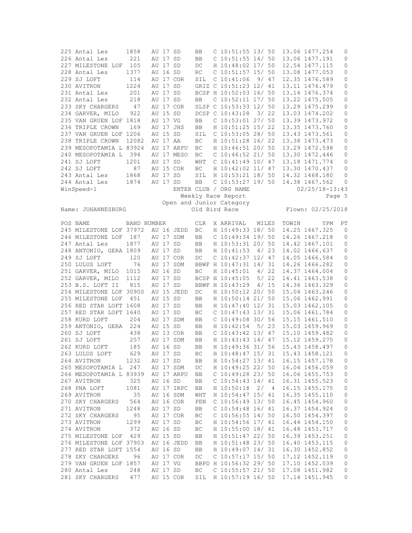| 225 Antal Les                     | 1858        |          | AU 17 SD |            | BB         | $C$ 10:51:55 13/50                     |       |      |       | 13.06 1477.254                   | 0            |
|-----------------------------------|-------------|----------|----------|------------|------------|----------------------------------------|-------|------|-------|----------------------------------|--------------|
| 226 Antal Les                     | 221         |          | AU 17 SD |            | BB         | $C$ 10:51:55 14/ 50                    |       |      |       | 13.06 1477.191                   | 0            |
| 227 MILESTONE LOF                 | 105         |          | AU 17 SD |            | $DC$       | H 10:48:02 17/ 50                      |       |      |       | 12.54 1477.115                   | 0            |
| 228 Antal Les                     | 1377        |          | AU 16 SD |            | RC         | C 10:51:57 15/ 50                      |       |      |       | 13.08 1477.053                   |              |
|                                   |             |          |          |            |            |                                        |       |      |       |                                  | 0            |
| 229 SJ LOFT                       | 114         |          |          | AU 17 COR  | SIL        | $C$ 10:41:06 9/ 47                     |       |      |       | 12.35 1476.589                   | 0            |
| 230 AVITRON                       | 1224        |          | AU 17 SD |            |            | GRIZ C 10:51:23 12/ 41                 |       |      |       | 13.11 1476.479                   | 0            |
| 231 Antal Les                     | 201         |          | AU 17 SD |            |            | BCSP H 10:52:03 16/ 50                 |       |      |       | 13.14 1476.374                   | 0            |
| 232 Antal Les                     | 218         |          | AU 17 SD |            | BB         | C 10:52:11 17/ 50                      |       |      |       | 13.22 1475.505                   | 0            |
|                                   |             |          |          |            |            |                                        |       |      |       |                                  |              |
| 233 SKY CHARGERS                  | 47          |          |          | AU 17 COR  |            | SLSP C 10:53:33 12/ 50                 |       |      |       | 13.29 1475.299                   | 0            |
| 234 GARVER, MILO                  | 922         |          | AU 15 SD |            |            | DCSP C 10:43:28 3/22                   |       |      |       | 13.03 1474.202                   | 0            |
| 235 VAN GRUEN LOF 1818            |             |          | AU 17 VG |            | BB         | $C$ 10:53:01 27/ 50                    |       |      |       | 13.39 1473.972                   | 0            |
| 236 TRIPLE CROWN                  | 169         |          |          | AU 17 JHS  | BB         | H 10:51:25 15/ 22                      |       |      |       | 13.35 1473.760                   | 0            |
|                                   |             |          |          |            |            |                                        |       |      |       |                                  |              |
| 237 VAN GRUEN LOF 1206            |             |          | AU 15 SD |            | SIL        | C 10:53:05 28/ 50                      |       |      |       | 13.43 1473.561                   | 0            |
| 238 TRIPLE CROWN                  | 12082       |          | AU 17 AA |            | BC         | H 10:51:28 16/ 22                      |       |      |       | 13.38 1473.473                   | 0            |
| 239 MESOPOTAMIA L 83924           |             |          |          | AU 17 ARPU | ВC         | H 10:46:51 20/ 50                      |       |      |       | 13.29 1472.598                   | 0            |
| 240 MESOPOTAMIA L                 | 394         |          |          | AU 17 MESO | ВC         | $C$ 10:46:52 21/ 50                    |       |      |       | 13.30 1472.446                   | 0            |
| 241 SJ LOFT                       | 1201        |          | AU 17 SD |            | WHT        | $C$ 10:41:49 10/ 47                    |       |      |       | 13.18 1471.774                   | 0            |
|                                   |             |          |          |            |            |                                        |       |      |       |                                  |              |
| 242 SJ LOFT                       | 87          |          |          | AU 15 COR  | BC         | H 10:42:02 11/ 47                      |       |      |       | 13.30 1470.437                   | 0            |
| 243 Antal Les                     | 1868        |          | AU 17 SD |            | SIL        | H 10:53:21 18/ 50                      |       |      |       | 14.32 1468.180                   | $\mathbf{0}$ |
| 244 Antal Les                     | 1874        |          | AU 17 SD |            | BB         | $C$ 10:53:27 19/ 50                    |       |      |       | 14.38 1467.562                   | 0            |
| WinSpeed-1                        |             |          |          |            |            | ENTER CLUB / ORG NAME                  |       |      |       | $02/25/18 - 13:43$               |              |
|                                   |             |          |          |            |            |                                        |       |      |       |                                  |              |
|                                   |             |          |          |            |            | Weekly Race Report                     |       |      |       | Page 5                           |              |
|                                   |             |          |          |            |            | Open and Junior Category               |       |      |       |                                  |              |
| Name: JOHANNESBURG                |             |          |          |            |            | Old Bird Race                          |       |      |       | Flown: 02/25/2018                |              |
|                                   |             |          |          |            |            |                                        |       |      |       |                                  |              |
| POS NAME                          | BAND NUMBER |          |          |            | <b>CLR</b> | X ARRIVAL                              | MILES |      | TOWIN | Y PM                             | PT           |
|                                   |             |          |          |            |            | H 10:49:33 18/ 50                      |       |      |       |                                  |              |
| 245 MILESTONE LOF 37972           |             |          |          | AU 16 JEDD | ВC         |                                        |       |      |       | 14.25 1467.325                   | $\mathbf{0}$ |
| 246 MILESTONE LOF                 | 187         |          |          | AU 17 SDM  | BB         | $C$ 10:49:34 19/ 50                    |       |      |       | 14.26 1467.218                   | 0            |
| 247 Antal Les                     | 1877        |          | AU 17 SD |            | BB         | H 10:53:31 20/ 50                      |       |      |       | 14.42 1467.101                   | 0            |
| 248 ANTONIO, GERA 1809            |             |          | AU 17 SD |            | BB         | H 10:41:53 4/23                        |       |      |       | 14.02 1466.637                   | 0            |
| 249 SJ LOFT                       | 120         |          |          | AU 17 COR  | DC         | $C$ 10:42:37 12/ 47                    |       |      |       | 14.05 1466.584                   | 0            |
|                                   |             |          |          |            |            |                                        |       |      |       |                                  |              |
| 250 LULUS LOFT                    | 76          |          |          | AU 17 SDM  |            | BBWF H 10:47:31 14/ 31                 |       |      |       | 14.26 1466.282                   | 0            |
| 251 GARVER, MILO                  | 1015        |          | AU 16 SD |            | BC         | H 10:45:01 4/ 22                       |       |      |       | 14.37 1464.004                   | $\mathbf{0}$ |
| 252 GARVER, MILO                  | 1112        |          | AU 17 SD |            |            | BCSP H 10:45:05                        |       | 5/22 |       | 14.41 1463.538                   | $\circ$      |
| 253 B.S. LOFT II                  | 815         |          | AU 17 SD |            |            | BBWF H 10:43:29                        |       | 4/15 |       | 14.36 1463.329                   | 0            |
| 254 MILESTONE LOF 30900           |             |          |          | AU 15 JEDD | DC         | H 10:50:12 20/ 50                      |       |      |       | 15.04 1463.246                   | 0            |
|                                   |             |          |          |            |            |                                        |       |      |       |                                  |              |
| 255 MILESTONE LOF                 | 451         |          | AU 15 SD |            | BB         | H 10:50:14 21/ 50                      |       |      |       | 15.06 1462.991                   | 0            |
| 256 RED STAR LOFT 1608            |             |          | AU 17 SD |            | BB         | H 10:47:40 12/ 31                      |       |      |       | 15.03 1462.105                   | 0            |
| 257 RED STAR LOFT 1640            |             |          | AU 17 SD |            | BC         | $C$ 10:47:43 13/31                     |       |      |       | 15.06 1461.784                   | 0            |
| 258 KURD LOFT                     | 204         |          |          | AU 17 SDM  | BB         | $C$ 10:49:08 30/ 56                    |       |      |       | 15.15 1461.510                   | 0            |
| 259 ANTONIO, GERA                 | 224         |          | AU 15 SD |            | BB         | H 10:42:54 5/ 23                       |       |      |       | 15.03 1459.969                   | 0            |
|                                   |             |          |          |            |            |                                        |       |      |       |                                  |              |
| 260 SJ LOFT                       | 438         |          |          | AU 13 COR  | BB         | $C$ 10:43:42 13/47                     |       |      |       | 15.10 1459.482                   | 0            |
| 261 SJ LOFT                       | 257         |          |          | AU 17 SDM  | BB         | H 10:43:43 14/ 47                      |       |      |       | 15.12 1459.275                   | $\mathbf{0}$ |
| 262 KURD LOFT                     | 185         |          | AU 16 SD |            | <b>BB</b>  | H 10:49:36 31/ 56                      |       |      |       | 15.43 1458.497                   | $\mathbf{0}$ |
| 263 LULUS LOFT                    | 629         |          | AU 17 SD |            | ВC         | H 10:48:47 15/ 31                      |       |      |       | 15.43 1458.121                   | 0            |
| 264 AVITRON                       | 1232        |          | AU 17 SD |            | BB         | H 10:54:27 13/ 41                      |       |      |       | 16.15 1457.178                   | 0            |
|                                   |             |          |          |            |            |                                        |       |      |       |                                  |              |
| 265 MESOPOTAMIA L 247             |             |          |          | AU 17 SDM  | DC         | H 10:49:25 22/ 50                      |       |      |       | 16.04 1456.059                   | 0            |
| 266 MESOPOTAMIA L 83939           |             |          |          | AU 17 ARPU | BB         | $C$ 10:49:28 23/ 50                    |       |      |       | 16.06 1455.753                   | 0            |
| 267 AVITRON                       | 325         |          | AU 16 SD |            | BB         | $C$ 10:54:43 14/41                     |       |      |       | 16.31 1455.523                   | 0            |
| 268 PNA LOFT                      | 1081        |          |          | AU 17 IRPC | BB         | H 10:50:18                             | 2/4   |      |       | 16.15 1455.175                   | 0            |
| 269 AVITRON                       | 35          |          |          | AU 16 SDM  |            | H 10:54:47 15/ 41                      |       |      |       | 16.35 1455.110                   | 0            |
|                                   |             |          |          |            | WHT        |                                        |       |      |       |                                  |              |
| 270 SKY CHARGERS                  | 564         |          |          | AU 16 COR  | PEN        | C 10:56:49 13/ 50                      |       |      |       | 16.45 1454.960                   | 0            |
| 271 AVITRON                       | 1248        |          | AU 17 SD |            | ВB         | $C$ 10:54:48 16/41                     |       |      |       | 16.37 1454.924                   | 0            |
| 272 SKY CHARGERS                  | 95          |          |          | AU 17 COR  | ВC         | $C$ 10:56:55 14/50                     |       |      |       | 16.50 1454.397                   | 0            |
|                                   | 1299        |          | AU 17 SD |            | BC         | H 10:54:56 17/ 41                      |       |      |       | 16.44 1454.150                   | 0            |
|                                   |             |          |          |            |            |                                        |       |      |       | 16.48 1453.717                   |              |
| 273 AVITRON                       |             |          |          |            | ВC         | H 10:55:00 18/ 41                      |       |      |       |                                  | 0            |
| 274 AVITRON                       | 372         | AU 16 SD |          |            |            |                                        |       |      |       |                                  |              |
| 275 MILESTONE LOF                 | 429         |          | AU 15 SD |            | BB         | H 10:51:47 22/ 50                      |       |      |       | 16.39 1453.251                   | 0            |
| 276 MILESTONE LOF 37903           |             |          |          | AU 16 JEDD | BB         | H 10:51:48 23/ 50                      |       |      |       | 16.40 1453.115                   | 0            |
|                                   |             |          |          |            |            |                                        |       |      |       |                                  |              |
| 277 RED STAR LOFT 1554            |             |          | AU 16 SD |            | BB         | H 10:49:07 14/ 31                      |       |      |       | 16.30 1452.852                   | 0            |
| 278 SKY CHARGERS                  | 96          |          |          | AU 17 COR  | DC         | $C$ 10:57:17 15/ 50                    |       |      |       | 17.12 1452.119                   | 0            |
| 279 VAN GRUEN LOF 1857            |             |          | AU 17 VG |            |            | BBPD H 10:56:32 29/ 50                 |       |      |       | 17.10 1452.039                   | 0            |
| 280 Antal Les<br>281 SKY CHARGERS | 248         |          | AU 17 SD | AU 15 COR  | ВC         | C 10:55:57 21/ 50<br>H 10:57:19 16/ 50 |       |      |       | 17.08 1451.982<br>17.14 1451.945 | 0            |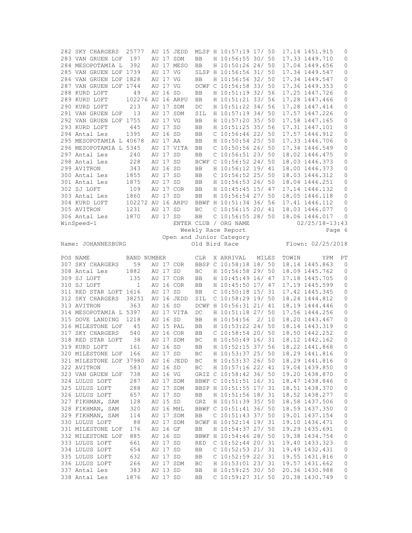| 282 SKY CHARGERS                                                                     | 25777             |  |                      | AU 15 JEDD |            |  | MLSP H 10:57:19 17/ 50                   |       |  |       | 17.14 1451.915     | 0            |
|--------------------------------------------------------------------------------------|-------------------|--|----------------------|------------|------------|--|------------------------------------------|-------|--|-------|--------------------|--------------|
| 283 VAN GRUEN LOF                                                                    | 197               |  |                      | AU 17 SDM  | BB         |  | H 10:56:55 30/ 50                        |       |  |       | 17.33 1449.710     | 0            |
| 284 MESOPOTAMIA L                                                                    | 392               |  |                      | AU 17 MESO | BB         |  | H 10:50:26 24/ 50                        |       |  |       | 17.04 1449.656     | 0            |
| 285 VAN GRUEN LOF 1739                                                               |                   |  | AU 17 VG             |            |            |  | SLSP H 10:56:56 31/ 50                   |       |  |       | 17.34 1449.547     | 0            |
| 286 VAN GRUEN LOF 1828                                                               |                   |  | AU 17 VG             |            | BB         |  | H 10:56:56 32/ 50                        |       |  |       | 17.34 1449.547     | 0            |
| 287 VAN GRUEN LOF 1744                                                               |                   |  | AU 17 VG             |            |            |  | DCWF C 10:56:58 33/ 50                   |       |  |       | 17.36 1449.353     | 0            |
| 288 KURD LOFT                                                                        |                   |  | AU 16 SD             |            |            |  | H 10:51:19 32/ 56                        |       |  |       | 17.25 1447.726     |              |
|                                                                                      | 49                |  |                      |            | BB         |  |                                          |       |  |       |                    | 0            |
| 289 KURD LOFT                                                                        | 102276 AU 16 ARPU |  |                      |            | BB         |  | H 10:51:21 33/ 56                        |       |  |       | 17.28 1447.466     | 0            |
| 290 KURD LOFT                                                                        | 213               |  |                      | AU 17 SDM  | DC         |  | H 10:51:22 34/ 56                        |       |  |       | 17.28 1447.414     | 0            |
| 291 VAN GRUEN LOF                                                                    | 13                |  |                      | AU 17 SDM  | SIL        |  | H 10:57:19 34/ 50                        |       |  |       | 17.57 1447.226     | 0            |
| 292 VAN GRUEN LOF 1755                                                               |                   |  | AU 17 VG             |            | BB         |  | H 10:57:20 35/ 50                        |       |  |       | 17.58 1447.165     | 0            |
| 293 KURD LOFT                                                                        | 445               |  | AU 17 SD             |            | BB         |  | H 10:51:25 35/ 56                        |       |  |       | 17.31 1447.101     | 0            |
| 294 Antal Les                                                                        | 1395              |  | AU 16 SD             |            | BB         |  | $C$ 10:56:46 22/ 50                      |       |  |       | 17.57 1446.912     | 0            |
| 295 MESOPOTAMIA L 40678                                                              |                   |  | AU 17 AA             |            | BB         |  | H 10:50:54 25/ 50                        |       |  |       | 17.33 1446.706     | 0            |
| 296 MESOPOTAMIA L 5345                                                               |                   |  |                      | AU 17 VITA | BB         |  | $C$ 10:50:56 26/ 50                      |       |  |       | 17.34 1446.549     | 0            |
| 297 Antal Les                                                                        | 240               |  | AU 17 SD             |            | BB         |  | $C$ 10:56:51 23/ 50                      |       |  |       | 18.02 1446.475     | 0            |
| 298 Antal Les                                                                        | 228               |  | AU 17 SD             |            |            |  | BCWF C 10:56:52 24/ 50                   |       |  |       | 18.03 1446.373     | 0            |
| 299 AVITRON                                                                          | 343               |  | AU 16 SD             |            | BB         |  | H 10:56:12 19/ 41                        |       |  |       | 18.00 1446.373     | 0            |
|                                                                                      |                   |  |                      |            |            |  |                                          |       |  |       |                    |              |
| 300 Antal Les                                                                        | 1855              |  | AU 17 SD             |            | BB         |  | C 10:56:52 25/ 50                        |       |  |       | 18.03 1446.312     | 0            |
| 301 Antal Les                                                                        | 1875              |  | AU 17 SD             |            | BB         |  | H 10:56:53 26/ 50                        |       |  |       | 18.04 1446.251     | 0            |
| 302 SJ LOFT                                                                          | 109               |  |                      | AU 17 COR  | BB         |  | H 10:45:45 15/ 47                        |       |  |       | 17.14 1446.132     | 0            |
| 303 Antal Les                                                                        | 1860              |  | AU 17 SD             |            | BB         |  | H 10:56:54 27/ 50                        |       |  |       | 18.05 1446.118     | 0            |
| 304 KURD LOFT                                                                        | 102272 AU 16 ARPU |  |                      |            |            |  | BBWF H 10:51:34 36/ 56                   |       |  |       | 17.41 1446.112     | 0            |
| 305 AVITRON                                                                          | 1231              |  | AU 17 SD             |            | BC         |  | $C$ 10:56:15 20/ 41                      |       |  |       | 18.03 1446.077     | $\mathbf{0}$ |
| 306 Antal Les                                                                        | 1870              |  | AU 17 SD             |            | BB         |  | $C$ 10:56:55 28/ 50                      |       |  |       | 18.06 1446.017     | 0            |
| WinSpeed-1                                                                           |                   |  |                      |            |            |  | ENTER CLUB / ORG NAME                    |       |  |       | $02/25/18 - 13:43$ |              |
|                                                                                      |                   |  |                      |            |            |  | Weekly Race Report                       |       |  |       |                    | Page 6       |
|                                                                                      |                   |  |                      |            |            |  |                                          |       |  |       |                    |              |
| Open and Junior Category<br>Flown: 02/25/2018<br>Name: JOHANNESBURG<br>Old Bird Race |                   |  |                      |            |            |  |                                          |       |  |       |                    |              |
|                                                                                      |                   |  |                      |            |            |  |                                          |       |  |       |                    |              |
| POS NAME                                                                             | BAND NUMBER       |  |                      |            | CLR        |  | X ARRIVAL                                | MILES |  | TOWIN | YPM                | РT           |
|                                                                                      |                   |  |                      |            |            |  |                                          |       |  |       |                    |              |
| 307 SKY CHARGERS                                                                     | 59                |  |                      | AU 17 COR  |            |  | BBSP C 10:58:18 18/ 50                   |       |  |       | 18.14 1445.863     | 0            |
| 308 Antal Les                                                                        | 1882              |  | AU 17 SD             |            | BC         |  | H 10:56:58 29/ 50                        |       |  |       | 18.09 1445.762     | 0            |
| 309 SJ LOFT                                                                          | 135               |  |                      | AU 17 COR  | BB         |  | H 10:45:49 16/ 47                        |       |  |       | 17.18 1445.705     | 0            |
| 310 SJ LOFT                                                                          | $\mathbf{1}$      |  |                      | AU 16 COR  | BB         |  | H 10:45:50 17/ 47                        |       |  |       | 17.19 1445.599     | 0            |
|                                                                                      |                   |  |                      |            |            |  |                                          |       |  |       |                    |              |
| 311 RED STAR LOFT 1616                                                               |                   |  | AU 17 SD             |            | BB         |  | $C$ 10:50:18 15/31                       |       |  |       | 17.42 1445.345     | 0            |
| 312 SKY CHARGERS                                                                     | 38251             |  |                      | AU 16 JEDD | SIL        |  | $C$ 10:58:29 19/ 50                      |       |  |       | 18.24 1444.812     | 0            |
| 313 AVITRON                                                                          | 363               |  | AU 16 SD             |            |            |  | DCWF H 10:56:31 21/ 41                   |       |  |       | 18.19 1444.446     | 0            |
| 314 MESOPOTAMIA L 5397                                                               |                   |  |                      | AU 17 VITA | DC         |  | H 10:51:18 27/ 50                        |       |  |       | 17.56 1444.256     | 0            |
| 315 DOVE LANDING                                                                     | 1218              |  | AU 16 SD             |            | BB         |  | H 10:54:56                               | 2/10  |  |       | 18.20 1443.467     | 0            |
| 316 MILESTONE LOF                                                                    | 45                |  |                      | AU 15 PAL  | BB         |  | H 10:53:22 24/ 50                        |       |  |       | 18.14 1443.319     | 0            |
| 317 SKY CHARGERS                                                                     | 540               |  |                      | AU 16 COR  | BB         |  | $C$ 10:58:54 20/ 50                      |       |  |       | 18.50 1442.252     | 0            |
| 318 RED STAR LOFT                                                                    | - 38              |  |                      | AU 17 SDM  | BC         |  | H 10:50:49 16/ 31                        |       |  |       | 18.12 1442.162     | 0            |
| 319 KURD LOFT                                                                        | 161               |  | AU 16 SD             |            | <b>BB</b>  |  | H 10:52:15 37/ 56                        |       |  |       | 18.22 1441.868     | $\mathbf 0$  |
| 320 MILESTONE LOF                                                                    | 166               |  | AU 17 SD             |            | ВC         |  | H 10:53:37 25/ 50                        |       |  |       | 18.29 1441.816     | 0            |
|                                                                                      |                   |  |                      |            |            |  |                                          |       |  |       |                    | 0            |
| 321 MILESTONE LOF 37980                                                              |                   |  |                      | AU 16 JEDD | BC         |  | H 10:53:37 26/ 50                        |       |  |       | 18.29 1441.816     |              |
| 322 AVITRON                                                                          | 583               |  | AU 16 SD             |            | ВC         |  | H 10:57:16 22/ 41                        |       |  |       | 19.04 1439.850     | 0            |
| 323 VAN GRUEN LOF                                                                    | 738               |  | AU 16 VG             |            |            |  | GRIZ C 10:58:42 36/ 50                   |       |  |       | 19.20 1438.870     | 0            |
| 324 LULUS LOFT                                                                       | 287               |  |                      | AU 17 SDM  |            |  | BBWF C 10:51:51 16/ 31                   |       |  |       | 18.47 1438.846     | 0            |
| 325 LULUS LOFT                                                                       | 288               |  |                      | AU 17 SDM  |            |  | BBSP H 10:51:55 17/ 31                   |       |  |       | 18.51 1438.370     | 0            |
| 326 LULUS LOFT                                                                       | 657               |  | AU 17 SD             |            | BB         |  | H 10:51:56 18/ 31                        |       |  |       | 18.52 1438.277     | $\mathbb O$  |
| 327 FIKHMAN, SAM                                                                     | 128               |  | AU 15 SD             |            | GRZ        |  | H 10:51:39 35/ 50                        |       |  |       | 18.58 1437.506     | 0            |
| 328 FIKHMAN, SAM                                                                     | 320               |  |                      | AU 16 MHL  |            |  | BBWF C 10:51:41 36/ 50                   |       |  |       | 18.59 1437.350     | 0            |
| 329 FIKHMAN, SAM                                                                     | 114               |  |                      | AU 17 SDM  | BB         |  | $C$ 10:51:43 37/ 50                      |       |  |       | 19.01 1437.154     | 0            |
| 330 LULUS LOFT                                                                       | 88                |  |                      |            |            |  |                                          |       |  |       | 19.10 1436.471     | 0            |
|                                                                                      |                   |  |                      | AU 17 SDM  |            |  | BCWF H 10:52:14 19/ 31                   |       |  |       |                    |              |
| 331 MILESTONE LOF                                                                    | 176               |  | AU 16 GF             |            | BB         |  | H 10:54:37 27/ 50                        |       |  |       | 19.29 1435.691     | 0            |
| 332 MILESTONE LOF                                                                    | 885               |  | AU 16 SD             |            |            |  | BBWF H 10:54:46 28/ 50                   |       |  |       | 19.38 1434.754     | 0            |
| 333 LULUS LOFT                                                                       | 661               |  | AU 17 SD             |            | <b>RED</b> |  | $C$ 10:52:44 20/31                       |       |  |       | 19.40 1433.323     | 0            |
| 334 LULUS LOFT                                                                       | 654               |  | AU 17 SD             |            | BB         |  | $C$ 10:52:53 21/31                       |       |  |       | 19.49 1432.431     | 0            |
| 335 LULUS LOFT                                                                       | 632               |  | AU 17 SD             |            | BB         |  | $C$ 10:52:59 22/ 31                      |       |  |       | 19.55 1431.816     | 0            |
| 336 LULUS LOFT                                                                       | 266               |  |                      | AU 17 SDM  | ВC         |  | H 10:53:01 23/ 31                        |       |  |       | 19.57 1431.662     | 0            |
| 337 Antal Les                                                                        | 383               |  | AU 13 SD<br>AU 17 SD |            | BB         |  | H 10:59:25 30/ 50<br>$C$ 10:59:27 31/ 50 |       |  |       | 20.36 1430.988     | 0            |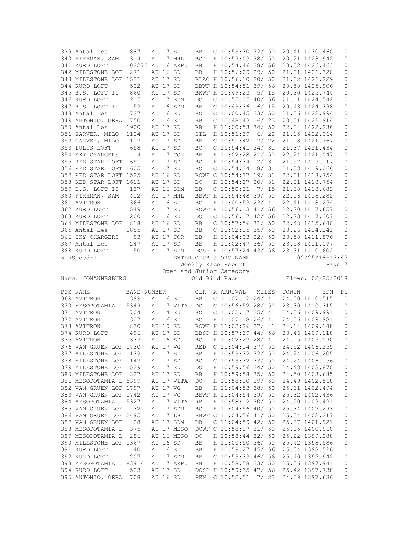| 339 Antal Les           | 1887              |          | AU 17 SD |            | BB         | $C$ 10:59:30 32/ 50      |       |      |       | 20.41 1430.460    | 0              |
|-------------------------|-------------------|----------|----------|------------|------------|--------------------------|-------|------|-------|-------------------|----------------|
| 340 FIKHMAN, SAM        | 314               |          |          | AU 17 MHL  | ВC         | H 10:53:03 38/ 50        |       |      |       | 20.21 1428.942    | 0              |
| 341 KURD LOFT           | 102273 AU 16 ARPU |          |          |            | BB         | H 10:54:46 38/ 56        |       |      |       | 20.52 1426.463    | $\mathbb O$    |
| 342 MILESTONE LOF       | 271               |          | AU 16 SD |            | BB         | H 10:56:09 29/ 50        |       |      |       | 21.01 1426.320    | 0              |
| 343 MILESTONE LOF 1531  |                   |          | AU 17 SD |            |            | BLAC H 10:56:10 30/ 50   |       |      |       | 21.02 1426.229    | 0              |
|                         |                   |          |          |            |            |                          |       |      |       |                   |                |
| 344 KURD LOFT           | 502               |          | AU 17 SD |            |            | BBWF H 10:54:51 39/ 56   |       |      |       | 20.58 1425.906    | 0              |
| 345 B.S. LOFT II        | 860               |          | AU 17 SD |            |            | BKWF H 10:49:23          | 5/ 15 |      |       | 20.30 1425.744    | $\mathbb O$    |
| 346 KURD LOFT           | 215               |          |          | AU 17 SDM  | DC         | C 10:55:05 40/ 56        |       |      |       | 21.11 1424.542    | 0              |
| 347 B.S. LOFT II        | 53                |          |          | AU 16 SDM  | <b>BB</b>  | $C$ 10:49:36             |       | 6/15 |       | 20.43 1424.398    | 0              |
| 348 Antal Les           | 1727              |          | AU 16 SD |            | BC         | $C$ 11:00:45 33/ 50      |       |      |       | 21.56 1422.994    | 0              |
| 349 ANTONIO, GERA 750   |                   |          | AU 16 SD |            | BB         | $C$ 10:48:43             | 6/23  |      |       | 20.51 1422.914    | 0              |
| 350 Antal Les           | 1900              |          | AU 17 SD |            | BB         | H 11:00:53 34/ 50        |       |      |       | 22.04 1422.236    | 0              |
|                         |                   |          |          |            |            |                          |       |      |       |                   |                |
| 351 GARVER, MILO 1124   |                   |          | AU 17 SD |            | SIL        | H 10:51:39               |       | 6/22 |       | 21.15 1422.064    | 0              |
| 352 GARVER, MILO        | 1117              |          | AU 17 SD |            | BB         | C 10:51:42               |       | 7/22 |       | 21.18 1421.767    | 0              |
| 353 LULUS LOFT          | 658               |          | AU 17 SD |            | BC         | $C$ 10:54:41 24/31       |       |      |       | 21.37 1421.434    | 0              |
| 354 SKY CHARGERS        | 14                |          |          | AU 17 COR  | BB         | H 11:02:28 21/ 50        |       |      |       | 22.24 1421.047    | 0              |
| 355 RED STAR LOFT 1651  |                   |          | AU 17 SD |            | BC         | H 10:54:34 17/ 31        |       |      |       | 21.57 1419.117    | $\mathbb O$    |
| 356 RED STAR LOFT 1605  |                   |          | AU 17 SD |            | BC         | $C$ 10:54:34 18/31       |       |      |       | 21.58 1419.066    | 0              |
|                         |                   |          |          |            |            |                          |       |      |       |                   |                |
| 357 RED STAR LOFT 1525  |                   |          | AU 16 SD |            |            | BCWF C 10:54:37 19/ 31   |       |      |       | 22.01 1418.754    | 0              |
| 358 RED STAR LOFT 1611  |                   |          | AU 17 SD |            | BC         | H 10:54:37 20/ 31        |       |      |       | 22.01 1418.754    | 0              |
| 359 B.S. LOFT II        | 137               |          |          | AU 16 SDM  | BB         | $C$ 10:50:31             | 7/15  |      |       | 21.38 1418.683    | 0              |
| 360 FIKHMAN, SAM        | 412               |          |          | AU 17 MHL  |            | BBWF H 10:54:48 39/ 50   |       |      |       | 22.06 1418.282    | $\mathbb O$    |
| 361 AVITRON             | 366               |          | AU 16 SD |            | BC         | H 11:00:53 23/ 41        |       |      |       | 22.41 1418.254    | 0              |
| 362 KURD LOFT           | 549               |          | AU 17 SD |            |            | BCWF H 10:56:13 41/ 56   |       |      |       | 22.20 1417.657    | 0              |
|                         |                   |          | AU 16 SD |            |            |                          |       |      |       |                   |                |
| 363 KURD LOFT           | 200               |          |          |            | DC         | $C$ 10:56:17 42/ 56      |       |      |       | 22.23 1417.307    | 0              |
| 364 MILESTONE LOF       | 818               |          | AU 16 SD |            | BB         | $C$ 10:57:56 31/50       |       |      |       | 22.48 1415.640    | 0              |
| 365 Antal Les           | 1885              |          | AU 17 SD |            | <b>BB</b>  | $C$ 11:02:15 35/ 50      |       |      |       | 23.26 1414.241    | $\mathbb O$    |
| 366 SKY CHARGERS        | 93                |          |          | AU 17 COR  | BB         | H 11:04:03 22/ 50        |       |      |       | 23.58 1411.876    | 0              |
| 367 Antal Les           | 247               |          | AU 17 SD |            | BB         | H 11:02:47 36/ 50        |       |      |       | 23.58 1411.077    | 0              |
| 368 KURD LOFT           | 50                |          |          | AU 17 SDM  |            | DCSP H 10:57:24 43/ 56   |       |      |       | 23.31 1410.602    | 0              |
| WinSpeed-1              |                   |          |          |            |            | ENTER CLUB / ORG NAME    |       |      |       | 02/25/18-13:43    |                |
|                         |                   |          |          |            |            |                          |       |      |       |                   |                |
|                         |                   |          |          |            |            |                          |       |      |       |                   |                |
|                         |                   |          |          |            |            | Weekly Race Report       |       |      |       |                   | Page 7         |
|                         |                   |          |          |            |            | Open and Junior Category |       |      |       |                   |                |
| Name: JOHANNESBURG      |                   |          |          |            |            | Old Bird Race            |       |      |       | Flown: 02/25/2018 |                |
|                         |                   |          |          |            |            |                          |       |      |       |                   |                |
| POS NAME                | BAND NUMBER       |          |          |            | CLR        | X ARRIVAL                | MILES |      | TOWIN | YPM               | РT             |
| 369 AVITRON             | 399               | AU 16 SD |          |            | BB         | $C$ 11:02:12 24/ 41      |       |      |       | 24.00 1410.515    | $\overline{0}$ |
|                         |                   |          |          |            |            |                          |       |      |       |                   |                |
| 370 MESOPOTAMIA L 5349  |                   |          |          | AU 17 VITA | DC         | $C$ 10:56:52 28/ 50      |       |      |       | 23.30 1410.315    | 0              |
| 371 AVITRON             | 1704              |          | AU 14 SD |            | ВC         | $C$ 11:02:17 25/ 41      |       |      |       | 24.06 1409.991    | 0              |
| 372 AVITRON             | 307               |          | AU 16 SD |            | BC         | H 11:02:18 26/ 41        |       |      |       | 24.06 1409.981    | 0              |
| 373 AVITRON             | 830               |          | AU 10 SD |            |            | BCWF H 11:02:26 27/ 41   |       |      |       | 24.14 1409.148    | 0              |
| 374 KURD LOFT           | 496               |          | AU 17 SD |            |            | BBSP H 10:57:39 44/ 56   |       |      |       | 23.46 1409.118    | 0              |
| 375 AVITRON             | 333               |          | AU 16 SD |            | BC         | H 11:02:27 28/ 41        |       |      |       | 24.15 1409.090    | 0              |
|                         |                   |          | AU 17 VG |            | <b>RED</b> |                          |       |      |       |                   | $\circ$        |
| 376 VAN GRUEN LOF 1730  |                   |          |          |            |            | $C$ 11:04:14 37/ 50      |       |      |       | 24.52 1406.255    |                |
| 377 MILESTONE LOF       | 132               |          | AU 17 SD |            | ВB         | H 10:59:32 32/ 50        |       |      |       | 24.24 1406.205    | 0              |
| 378 MILESTONE LOF       | 147               |          | AU 17 SD |            | ВC         | $C$ 10:59:32 33/ 50      |       |      |       | 24.24 1406.156    | 0              |
| 379 MILESTONE LOF 1529  |                   |          | AU 17 SD |            | DC         | H 10:59:56 34/ 50        |       |      |       | 24.48 1403.870    | 0              |
| 380 MILESTONE LOF       | 327               | AU 17 SD |          |            | BB         | H 10:59:58 35/ 50        |       |      |       | 24.50 1403.685    | 0              |
| 381 MESOPOTAMIA L 5399  |                   |          |          | AU 17 VITA | DC         | H 10:58:10 29/ 50        |       |      |       | 24.49 1402.568    | 0              |
|                         |                   |          |          |            |            |                          |       |      |       |                   |                |
| 382 VAN GRUEN LOF 1797  |                   |          | AU 17 VG |            | BB         | H 11:04:53 38/ 50        |       |      |       | 25.31 1402.494    | $\mathbb O$    |
| 383 VAN GRUEN LOF 1742  |                   |          | AU 17 VG |            |            | BBWF H 11:04:54 39/ 50   |       |      |       | 25.32 1402.436    | $\mathbb O$    |
| 384 MESOPOTAMIA L 5327  |                   |          |          | AU 17 VITA | RB         | H 10:58:12 30/ 50        |       |      |       | 24.50 1402.421    | $\mathbb O$    |
| 385 VAN GRUEN LOF       | 32                |          |          | AU 17 SDM  | ВC         | H 11:04:56 40/ 50        |       |      |       | 25.34 1402.293    | 0              |
| 386 VAN GRUEN LOF 2495  |                   | AU 17 LB |          |            |            | BBWF C 11:04:56 41/ 50   |       |      |       | 25.34 1402.217    | $\mathbb O$    |
| 387 VAN GRUEN LOF       | 28                |          |          | AU 17 SDM  | BB         | $C$ 11:04:59 42/ 50      |       |      |       | 25.37 1401.921    | $\mathbb O$    |
| 388 MESOPOTAMIA L       | 375               |          |          | AU 17 MESO |            |                          |       |      |       | 25.05 1400.960    | 0              |
|                         |                   |          |          |            |            | DCWF C 10:58:27 31/ 50   |       |      |       |                   |                |
| 389 MESOPOTAMIA L       | 286               |          |          | AU 16 MESO | DC         | H 10:58:44 32/ 50        |       |      |       | 25.22 1399.288    | $\mathbb O$    |
| 390 MILESTONE LOF 1367  |                   | AU 16 SD |          |            | BB         | H 11:00:50 36/ 50        |       |      |       | 25.42 1398.586    | $\mathbb O$    |
| 391 KURD LOFT           | 40                |          | AU 16 SD |            | BB         | H 10:59:27 45/ 56        |       |      |       | 25.34 1398.526    | 0              |
| 392 KURD LOFT           | 207               |          |          | AU 17 SDM  | BB         | $C$ 10:59:33 46/ 56      |       |      |       | 25.40 1397.942    | $\mathbb O$    |
| 393 MESOPOTAMIA L 83914 |                   |          |          | AU 17 ARPU | BB         | H 10:58:58 33/ 50        |       |      |       | 25.36 1397.941    | 0              |
| 394 KURD LOFT           | 523               | AU 17 SD |          |            |            | DCSP H 10:59:35 47/ 56   |       |      |       | 25.42 1397.738    | 0              |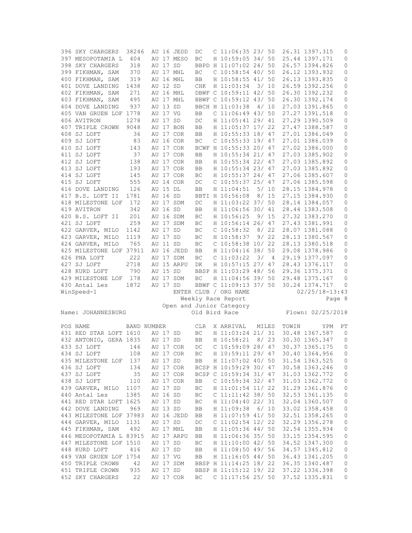| 396 SKY CHARGERS                     | 38246              |          | AU 16 JEDD | DC         | $C$ 11:06:35 23/ 50                           |       |      |       | 26.31 1397.315                       | 0                   |
|--------------------------------------|--------------------|----------|------------|------------|-----------------------------------------------|-------|------|-------|--------------------------------------|---------------------|
| 397 MESOPOTAMIA L                    | 404                |          | AU 17 MESO | BC         | H 10:59:05 34/ 50                             |       |      |       | 25.44 1397.171                       | 0                   |
| 398 SKY CHARGERS                     | 318                | AU 17 SD |            |            | BBPD H 11:07:02 24/ 50                        |       |      |       | 26.57 1394.826                       | 0                   |
| 399 FIKHMAN, SAM                     | 370                |          | AU 17 MHL  | BC         | $C$ 10:58:54 40/ 50                           |       |      |       | 26.12 1393.932                       | 0                   |
| 400 FIKHMAN, SAM                     | 319                |          | AU 16 MHL  | BB         | H 10:58:55 41/ 50                             |       |      |       | 26.13 1393.835                       | 0                   |
| 401 DOVE LANDING                     | 1438               | AU 12 SD |            | CHK        | H 11:03:34                                    |       | 3/10 |       | 26.59 1392.256                       | 0                   |
| 402 FIKHMAN, SAM                     | 271                |          | AU 16 MHL  |            | DBWF C 10:59:11 42/ 50                        |       |      |       | 26.30 1392.232                       | 0                   |
| 403 FIKHMAN, SAM                     | 495                |          | AU 17 MHL  |            | BBWF C 10:59:12 43/ 50                        |       |      |       | 26.30 1392.174                       | $\mathbb O$         |
| 404 DOVE LANDING                     | 937                | AU 13 SD |            |            | BBCH H 11:03:38                               |       | 4/10 |       | 27.03 1391.865                       | 0                   |
| 405 VAN GRUEN LOF 1778               |                    | AU 17 VG |            | BB         | $C$ 11:06:49 43/ 50                           |       |      |       | 27.27 1391.518                       | 0                   |
| 406 AVITRON                          | 1278               | AU 17 SD |            | DC         | H 11:05:41 29/ 41                             |       |      |       | 27.29 1390.509                       | $\mathbb O$         |
| 407 TRIPLE CROWN                     | 9048               |          | AU 17 BON  | BB         | H 11:05:37 17/ 22                             |       |      |       | 27.47 1388.587                       | 0                   |
| 408 SJ LOFT                          | 36                 |          | AU 17 COR  | <b>BB</b>  | H 10:55:33 18/ 47                             |       |      |       | 27.01 1386.049                       | 0                   |
| 409 SJ LOFT                          | 83                 |          | AU 16 COR  | BC         | $C$ 10:55:33 19/ 47                           |       |      |       | 27.01 1386.039                       | 0                   |
| 410 SJ LOFT                          | 143                |          | AU 17 COR  |            | BCWF H 10:55:33 20/ 47                        |       |      |       | 27.02 1386.000                       | 0                   |
| 411 SJ LOFT                          | 37                 |          | AU 17 COR  | BB         | H 10:55:34 21/ 47                             |       |      |       | 27.03 1385.902                       | $\mathbb O$         |
|                                      |                    |          |            |            |                                               |       |      |       |                                      |                     |
| 412 SJ LOFT                          | 138                |          | AU 17 COR  | BB         | H 10:55:34 22/ 47                             |       |      |       | 27.03 1385.892                       | 0                   |
| 413 SJ LOFT                          | 193                |          | AU 17 COR  | BB         | H 10:55:34 23/ 47                             |       |      |       | 27.03 1385.892                       | $\mathbb O$         |
| 414 SJ LOFT                          | 145                |          | AU 17 COR  | BC         | H 10:55:37 24/ 47                             |       |      |       | 27.06 1385.607                       | 0                   |
| 415 SJ LOFT                          | 555                |          | AU 14 COR  | DC         | $C$ 10:55:37 25/ 47                           |       |      |       | 27.06 1385.598                       | 0                   |
| 416 DOVE LANDING                     | 126                | AU 15 DL |            | BB         | H 11:04:51                                    | 5/10  |      |       | 28.15 1384.978                       | $\mathbb O$         |
| 417 B.S. LOFT II                     | 1781               | AU 16 SD |            |            | BBTI H 10:56:08                               |       | 8/15 |       | 27.15 1384.930                       | 0                   |
| 418 MILESTONE LOF                    | 172                |          | AU 17 SDM  | DC         | H 11:03:22 37/ 50                             |       |      |       | 28.14 1384.057                       | 0                   |
| 419 AVITRON                          | 342                | AU 16 SD |            | BB         | H 11:06:56 30/ 41                             |       |      |       | 28.44 1383.508                       | 0                   |
| 420 B.S. LOFT II                     | 201                |          | AU 16 SDM  | ВC         | H 10:56:25                                    |       | 9/15 |       | 27.32 1383.270                       | 0                   |
| 421 SJ LOFT                          | 259                |          | AU 17 SDM  | BC         | H 10:56:14 26/ 47                             |       |      |       | 27.43 1381.991                       | 0                   |
| 422 GARVER, MILO                     | 1142               | AU 17 SD |            | ВC         | $C$ 10:58:32                                  |       | 8/22 |       | 28.07 1381.088                       | 0                   |
| 423 GARVER, MILO                     | 1119               | AU 17 SD |            | BC         | H 10:58:37                                    |       | 9/22 |       | 28.13 1380.567                       | $\mathbb O$         |
| 424 GARVER, MILO                     | 765                | AU 11 SD |            | BC         | $C$ 10:58:38 10/22                            |       |      |       | 28.13 1380.518                       | 0                   |
| 425 MILESTONE LOF 37911              |                    |          | AU 16 JEDD | BB         | H 11:04:16 38/ 50                             |       |      |       | 29.08 1378.986                       | 0                   |
| 426 PNA LOFT                         | 222                |          | AU 17 SDM  | BC         | C <sub>11:03:22</sub>                         | 3/    | 4    |       | 29.19 1377.097                       | $\mathbb O$         |
|                                      |                    |          |            |            |                                               |       |      |       |                                      |                     |
| 427 SJ LOFT                          | 2718               |          | AU 15 ARPU | DK         | H 10:57:15 27/ 47                             |       |      |       | 28.43 1376.117                       | 0                   |
| 428 KURD LOFT                        | 790                | AU 15 SD |            |            | BBSP H 11:03:29 48/ 56                        |       |      |       | 29.36 1375.371                       | 0                   |
| 429 MILESTONE LOF                    | 178                |          | AU 17 SDM  | BC         |                                               |       |      |       | 29.48 1375.167                       | 0                   |
| 430 Antal Les                        | 1872               | AU 17 SD |            |            | H 11:04:56 39/ 50<br>BBWF C 11:09:13 37/ 50   |       |      |       |                                      | 0                   |
|                                      |                    |          |            |            | ENTER CLUB / ORG NAME                         |       |      |       | 30.24 1374.717<br>$02/25/18 - 13:43$ |                     |
| WinSpeed-1                           |                    |          |            |            |                                               |       |      |       |                                      | Page 8              |
|                                      |                    |          |            |            | Weekly Race Report                            |       |      |       |                                      |                     |
| Name: JOHANNESBURG                   |                    |          |            |            | Open and Junior Category<br>Old Bird Race     |       |      |       | Flown: 02/25/2018                    |                     |
|                                      |                    |          |            |            |                                               |       |      |       |                                      |                     |
| POS NAME                             | <b>BAND NUMBER</b> |          |            | <b>CLR</b> | X ARRIVAL                                     | MILES |      | TOWIN | YPM                                  | РT                  |
|                                      |                    | AU 17 SD |            |            |                                               |       |      |       |                                      | $\overline{0}$      |
| 431 RED STAR LOFT 1610               |                    |          |            | BC         | H 11:03:24 21/ 31                             |       |      |       | 30.48 1367.587                       | $\mathbf{0}$        |
| 432 ANTONIO, GERA 1835               |                    | AU 17 SD |            | BB         | H 10:58:21                                    |       | 8/23 |       | 30.30 1365.347                       |                     |
| 433 SJ LOFT                          | 146                |          | AU 17 COR  | DC         | $C$ 10:59:09 28/ 47                           |       |      |       | 30.37 1365.175                       | 0                   |
| 434 SJ LOFT                          | 108                |          | AU 17 COR  | ВC         | H 10:59:11 29/ 47                             |       |      |       | 30.40 1364.956                       | 0                   |
| 435 MILESTONE LOF                    | 137                |          | AU 17 SD   | BB         | H 11:07:02 40/ 50                             |       |      |       | 31.54 1363.525                       | 0                   |
| 436 SJ LOFT                          | 134                |          | AU 17 COR  |            | BCSP H 10:59:29 30/ 47                        |       |      |       | 30.58 1363.246                       | 0                   |
| 437 SJ LOFT                          | 35                 |          | AU 17 COR  |            | BCSP C 10:59:34 31/ 47                        |       |      |       | 31.03 1362.772                       | $\mathbb O$         |
| 438 SJ LOFT                          | 110                |          | AU 17 COR  | BB         | C 10:59:34 32/ 47                             |       |      |       | 31.03 1362.772                       | 0                   |
| 439 GARVER, MILO                     | 1107               | AU 17 SD |            | ВC         | H 11:01:54 11/ 22                             |       |      |       | 31.29 1361.876                       | 0                   |
| 440 Antal Les                        | 1385               | AU 16 SD |            | BC         | C 11:11:42 38/ 50                             |       |      |       | 32.53 1361.135                       | $\mathsf{O}\xspace$ |
| 441 RED STAR LOFT 1625               |                    | AU 17 SD |            | ВC         | H 11:04:40 22/ 31                             |       |      |       | 32.04 1360.507                       | $\mathbb O$         |
| 442 DOVE LANDING                     | 969                | AU 13 SD |            | BB         | H 11:09:38                                    |       | 6/10 |       | 33.02 1358.458                       | 0                   |
| 443 MILESTONE LOF 37983              |                    |          | AU 16 JEDD | BB         | H 11:07:59 41/ 50                             |       |      |       | 32.51 1358.265                       | $\mathsf{O}\xspace$ |
| 444 GARVER, MILO                     | 1131               | AU 17 SD |            | DC         | $C$ 11:02:54 12/ 22                           |       |      |       | 32.29 1356.278                       | 0                   |
| 445 FIKHMAN, SAM                     | 492                |          | AU 17 MHL  | BB         | H 11:05:36 44/ 50                             |       |      |       | 32.54 1355.934                       | $\mathbb O$         |
| 446 MESOPOTAMIA L 83915              |                    |          | AU 17 ARPU | BB         | H 11:06:36 35/ 50                             |       |      |       | 33.15 1354.595                       | 0                   |
| 447 MILESTONE LOF 1510               |                    | AU 17 SD |            | ВC         | H 11:10:00 42/ 50                             |       |      |       | 34.52 1347.300                       | $\mathbb O$         |
| 448 KURD LOFT                        | 416                | AU 17 SD |            | BB         | H 11:08:50 49/ 56                             |       |      |       | 34.57 1345.812                       | $\mathbb O$         |
| 449 VAN GRUEN LOF 1754               |                    | AU 17 VG |            | BB         | H 11:16:05 44/ 50                             |       |      |       | 36.43 1341.205                       | 0                   |
| 450 TRIPLE CROWN                     | 42                 |          | AU 17 SDM  |            | BBSP H 11:14:25 18/ 22                        |       |      |       | 36.35 1340.487                       | $\mathsf{O}\xspace$ |
| 451 TRIPLE CROWN<br>452 SKY CHARGERS | 935<br>22          | AU 17 SD | AU 17 COR  | BC         | BBSP H 11:15:12 19/ 22<br>C $11:17:56$ 25/ 50 |       |      |       | 37.22 1336.398<br>37.52 1335.831     | 0<br>0              |